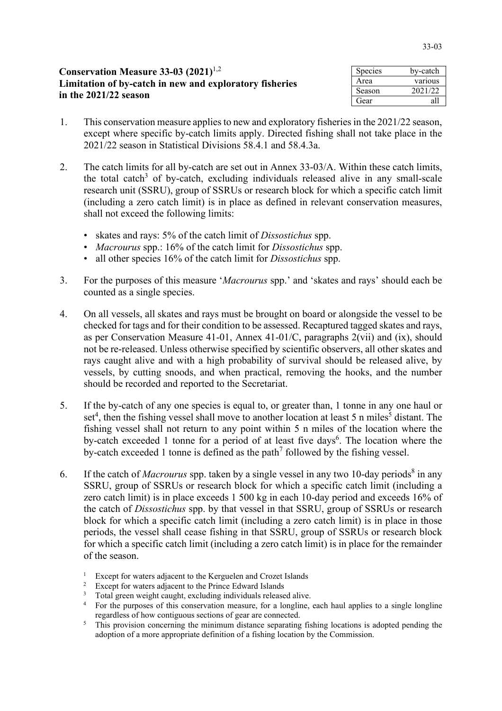| <b>Conservation Measure 33-03 (2021)</b> <sup>1,2</sup> | Species | bv-catch |
|---------------------------------------------------------|---------|----------|
| Limitation of by-catch in new and exploratory fisheries | Area    | various  |
| in the 2021/22 season                                   | Season  | 2021/22  |
|                                                         | Gear    | all      |

- 1. This conservation measure applies to new and exploratory fisheries in the 2021/22 season, except where specific by-catch limits apply. Directed fishing shall not take place in the 2021/22 season in Statistical Divisions 58.4.1 and 58.4.3a.
- 2. The catch limits for all by-catch are set out in Annex 33-03/A. Within these catch limits, the total catch<sup>3</sup> of by-catch, excluding individuals released alive in any small-scale research unit (SSRU), group of SSRUs or research block for which a specific catch limit (including a zero catch limit) is in place as defined in relevant conservation measures, shall not exceed the following limits:
	- skates and rays: 5% of the catch limit of *Dissostichus* spp.
	- *Macrourus* spp.: 16% of the catch limit for *Dissostichus* spp.
	- all other species 16% of the catch limit for *Dissostichus* spp.
- 3. For the purposes of this measure '*Macrourus* spp.' and 'skates and rays' should each be counted as a single species.
- 4. On all vessels, all skates and rays must be brought on board or alongside the vessel to be checked for tags and for their condition to be assessed. Recaptured tagged skates and rays, as per Conservation Measure 41-01, Annex 41-01/C, paragraphs 2(vii) and (ix), should not be re-released. Unless otherwise specified by scientific observers, all other skates and rays caught alive and with a high probability of survival should be released alive, by vessels, by cutting snoods, and when practical, removing the hooks, and the number should be recorded and reported to the Secretariat.
- 5. If the by-catch of any one species is equal to, or greater than, 1 tonne in any one haul or set<sup>4</sup>, then the fishing vessel shall move to another location at least 5 n miles<sup>5</sup> distant. The fishing vessel shall not return to any point within 5 n miles of the location where the by-catch exceeded 1 tonne for a period of at least five days<sup>6</sup>. The location where the by-catch exceeded 1 tonne is defined as the path<sup>7</sup> followed by the fishing vessel.
- 6. If the catch of *Macrourus* spp. taken by a single vessel in any two 10-day periods<sup>8</sup> in any SSRU, group of SSRUs or research block for which a specific catch limit (including a zero catch limit) is in place exceeds 1 500 kg in each 10-day period and exceeds 16% of the catch of *Dissostichus* spp. by that vessel in that SSRU, group of SSRUs or research block for which a specific catch limit (including a zero catch limit) is in place in those periods, the vessel shall cease fishing in that SSRU, group of SSRUs or research block for which a specific catch limit (including a zero catch limit) is in place for the remainder of the season.
	- <sup>1</sup> Except for waters adjacent to the Kerguelen and Crozet Islands
	- <sup>2</sup> Except for waters adjacent to the Prince Edward Islands
	- <sup>3</sup> Total green weight caught, excluding individuals released alive.
	- <sup>4</sup> For the purposes of this conservation measure, for a longline, each haul applies to a single longline regardless of how contiguous sections of gear are connected.
	- <sup>5</sup> This provision concerning the minimum distance separating fishing locations is adopted pending the adoption of a more appropriate definition of a fishing location by the Commission.